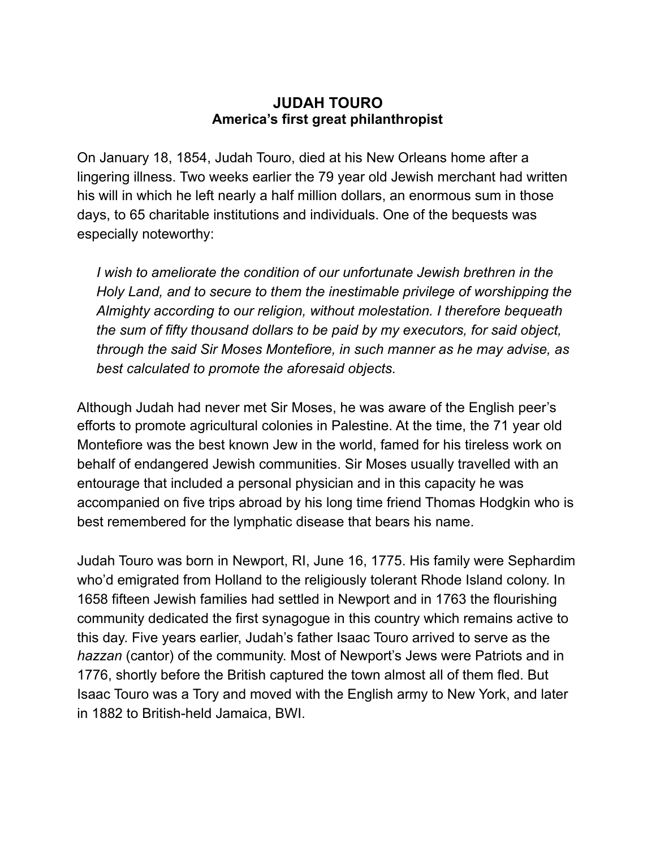## **JUDAH TOURO America's first great philanthropist**

On January 18, 1854, Judah Touro, died at his New Orleans home after a lingering illness. Two weeks earlier the 79 year old Jewish merchant had written his will in which he left nearly a half million dollars, an enormous sum in those days, to 65 charitable institutions and individuals. One of the bequests was especially noteworthy:

*I* wish to ameliorate the condition of our unfortunate Jewish brethren in the *Holy Land, and to secure to them the inestimable privilege of worshipping the Almighty according to our religion, without molestation. I therefore bequeath the sum of fifty thousand dollars to be paid by my executors, for said object, through the said Sir Moses Montefiore, in such manner as he may advise, as best calculated to promote the aforesaid objects.* 

Although Judah had never met Sir Moses, he was aware of the English peer's efforts to promote agricultural colonies in Palestine. At the time, the 71 year old Montefiore was the best known Jew in the world, famed for his tireless work on behalf of endangered Jewish communities. Sir Moses usually travelled with an entourage that included a personal physician and in this capacity he was accompanied on five trips abroad by his long time friend Thomas Hodgkin who is best remembered for the lymphatic disease that bears his name.

Judah Touro was born in Newport, RI, June 16, 1775. His family were Sephardim who'd emigrated from Holland to the religiously tolerant Rhode Island colony. In 1658 fifteen Jewish families had settled in Newport and in 1763 the flourishing community dedicated the first synagogue in this country which remains active to this day. Five years earlier, Judah's father Isaac Touro arrived to serve as the *hazzan* (cantor) of the community. Most of Newport's Jews were Patriots and in 1776, shortly before the British captured the town almost all of them fled. But Isaac Touro was a Tory and moved with the English army to New York, and later in 1882 to British-held Jamaica, BWI.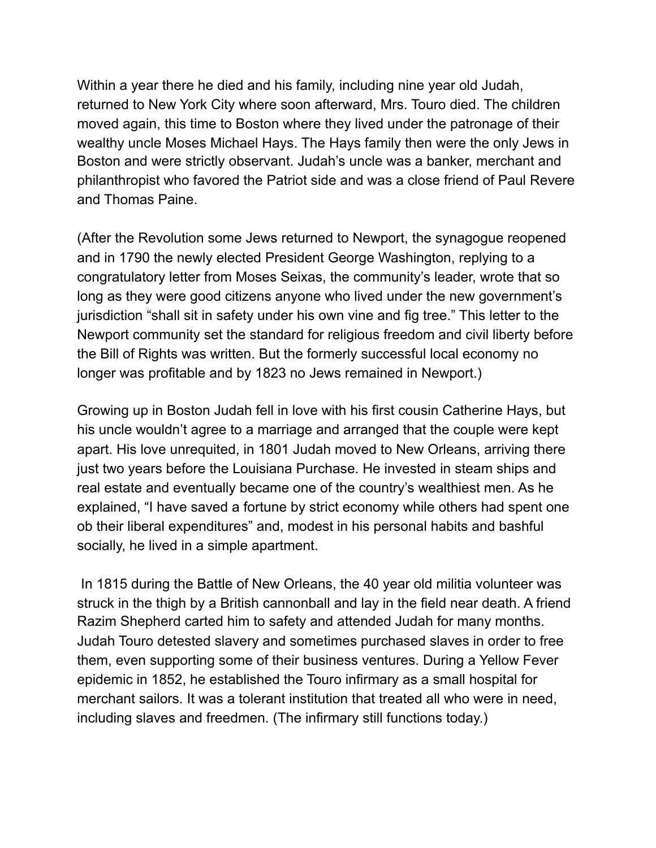Within a year there he died and his family, including nine year old Judah, returned to New York City where soon afterward, Mrs. Touro died. The children moved again, this time to Boston where they lived under the patronage of their wealthy uncle Moses Michael Hays. The Hays family then were the only Jews in Boston and were strictly observant. Judah's uncle was a banker, merchant and philanthropist who favored the Patriot side and was a close friend of Paul Revere and Thomas Paine.

(After the Revolution some Jews returned to Newport, the synagogue reopened and in 1790 the newly elected President George Washington, replying to a congratulatory letter from Moses Seixas, the community's leader, wrote that so long as they were good citizens anyone who lived under the new government's jurisdiction "shall sit in safety under his own vine and fig tree." This letter to the Newport community set the standard for religious freedom and civil liberty before the Bill of Rights was written. But the formerly successful local economy no longer was profitable and by 1823 no Jews remained in Newport.)

Growing up in Boston Judah fell in love with his first cousin Catherine Hays, but his uncle wouldn't agree to a marriage and arranged that the couple were kept apart. His love unrequited, in 1801 Judah moved to New Orleans, arriving there just two years before the Louisiana Purchase. He invested in steam ships and real estate and eventually became one of the country's wealthiest men. As he explained, "I have saved a fortune by strict economy while others had spent one ob their liberal expenditures" and, modest in his personal habits and bashful socially, he lived in a simple apartment.

 In 1815 during the Battle of New Orleans, the 40 year old militia volunteer was struck in the thigh by a British cannonball and lay in the field near death. A friend Razim Shepherd carted him to safety and attended Judah for many months. Judah Touro detested slavery and sometimes purchased slaves in order to free them, even supporting some of their business ventures. During a Yellow Fever epidemic in 1852, he established the Touro infirmary as a small hospital for merchant sailors. It was a tolerant institution that treated all who were in need, including slaves and freedmen. (The infirmary still functions today.)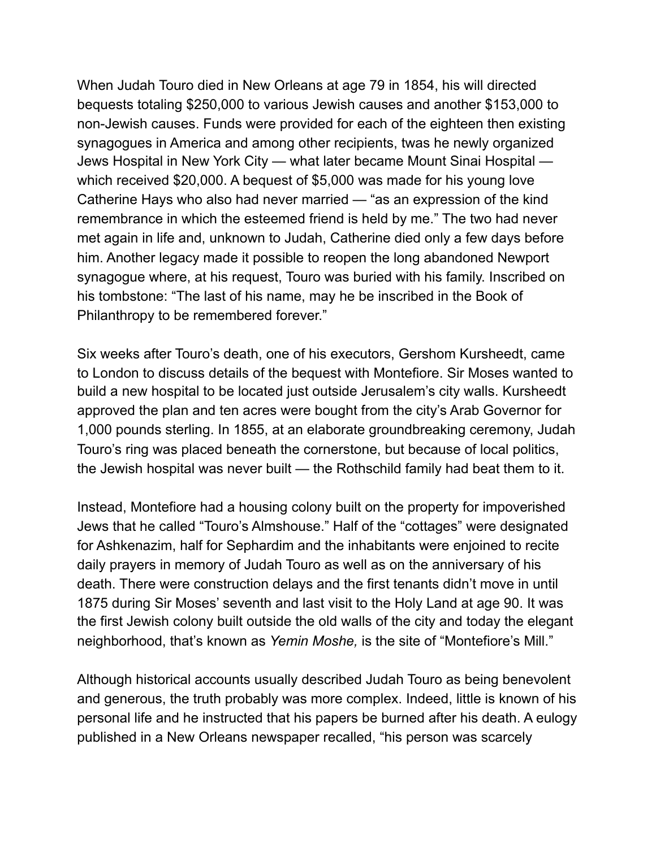When Judah Touro died in New Orleans at age 79 in 1854, his will directed bequests totaling \$250,000 to various Jewish causes and another \$153,000 to non-Jewish causes. Funds were provided for each of the eighteen then existing synagogues in America and among other recipients, twas he newly organized Jews Hospital in New York City — what later became Mount Sinai Hospital which received \$20,000. A bequest of \$5,000 was made for his young love Catherine Hays who also had never married — "as an expression of the kind remembrance in which the esteemed friend is held by me." The two had never met again in life and, unknown to Judah, Catherine died only a few days before him. Another legacy made it possible to reopen the long abandoned Newport synagogue where, at his request, Touro was buried with his family. Inscribed on his tombstone: "The last of his name, may he be inscribed in the Book of Philanthropy to be remembered forever."

Six weeks after Touro's death, one of his executors, Gershom Kursheedt, came to London to discuss details of the bequest with Montefiore. Sir Moses wanted to build a new hospital to be located just outside Jerusalem's city walls. Kursheedt approved the plan and ten acres were bought from the city's Arab Governor for 1,000 pounds sterling. In 1855, at an elaborate groundbreaking ceremony, Judah Touro's ring was placed beneath the cornerstone, but because of local politics, the Jewish hospital was never built — the Rothschild family had beat them to it.

Instead, Montefiore had a housing colony built on the property for impoverished Jews that he called "Touro's Almshouse." Half of the "cottages" were designated for Ashkenazim, half for Sephardim and the inhabitants were enjoined to recite daily prayers in memory of Judah Touro as well as on the anniversary of his death. There were construction delays and the first tenants didn't move in until 1875 during Sir Moses' seventh and last visit to the Holy Land at age 90. It was the first Jewish colony built outside the old walls of the city and today the elegant neighborhood, that's known as *Yemin Moshe,* is the site of "Montefiore's Mill."

Although historical accounts usually described Judah Touro as being benevolent and generous, the truth probably was more complex. Indeed, little is known of his personal life and he instructed that his papers be burned after his death. A eulogy published in a New Orleans newspaper recalled, "his person was scarcely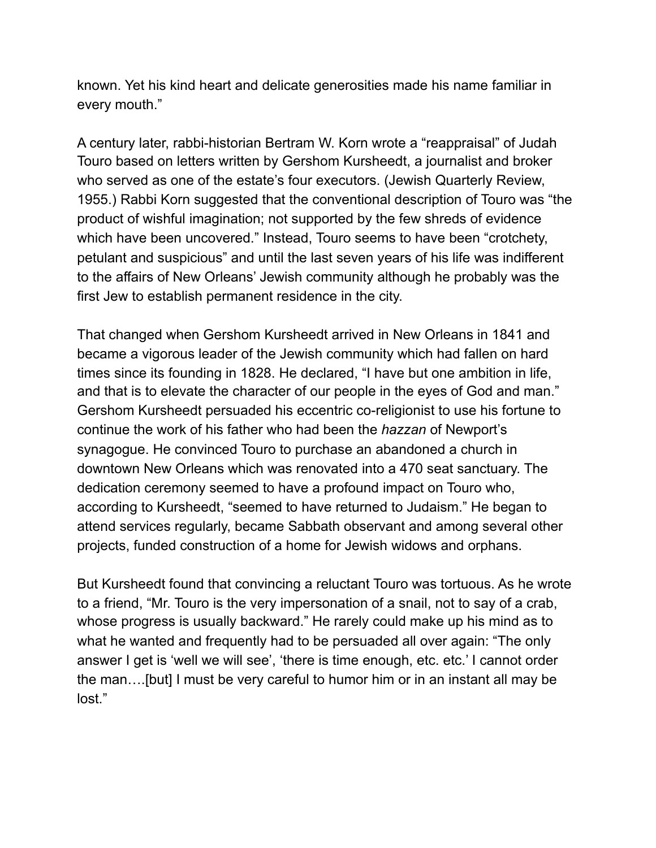known. Yet his kind heart and delicate generosities made his name familiar in every mouth."

A century later, rabbi-historian Bertram W. Korn wrote a "reappraisal" of Judah Touro based on letters written by Gershom Kursheedt, a journalist and broker who served as one of the estate's four executors. (Jewish Quarterly Review, 1955.) Rabbi Korn suggested that the conventional description of Touro was "the product of wishful imagination; not supported by the few shreds of evidence which have been uncovered." Instead, Touro seems to have been "crotchety, petulant and suspicious" and until the last seven years of his life was indifferent to the affairs of New Orleans' Jewish community although he probably was the first Jew to establish permanent residence in the city.

That changed when Gershom Kursheedt arrived in New Orleans in 1841 and became a vigorous leader of the Jewish community which had fallen on hard times since its founding in 1828. He declared, "I have but one ambition in life, and that is to elevate the character of our people in the eyes of God and man." Gershom Kursheedt persuaded his eccentric co-religionist to use his fortune to continue the work of his father who had been the *hazzan* of Newport's synagogue. He convinced Touro to purchase an abandoned a church in downtown New Orleans which was renovated into a 470 seat sanctuary. The dedication ceremony seemed to have a profound impact on Touro who, according to Kursheedt, "seemed to have returned to Judaism." He began to attend services regularly, became Sabbath observant and among several other projects, funded construction of a home for Jewish widows and orphans.

But Kursheedt found that convincing a reluctant Touro was tortuous. As he wrote to a friend, "Mr. Touro is the very impersonation of a snail, not to say of a crab, whose progress is usually backward." He rarely could make up his mind as to what he wanted and frequently had to be persuaded all over again: "The only answer I get is 'well we will see', 'there is time enough, etc. etc.' I cannot order the man….[but] I must be very careful to humor him or in an instant all may be lost."